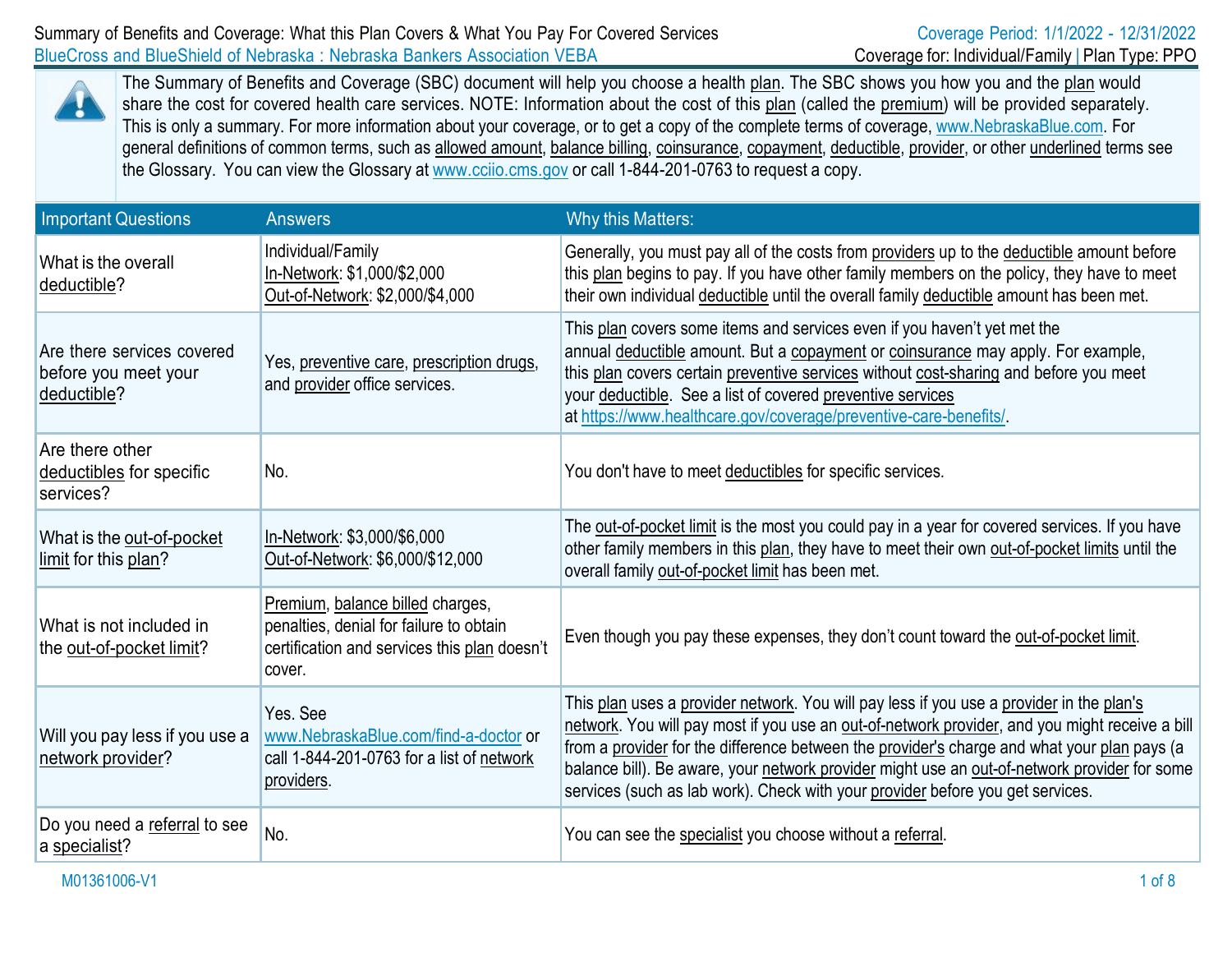

The Summary of Benefits and Coverage (SBC) document will help you choose a health plan. The SBC shows you how you and the plan would share the cost for covered health care services. NOTE: Information about the cost of this plan (called the premium) will be provided separately. This is only a summary. For more information about your coverage, or to get a copy of the complete terms of coverage, [www.NebraskaBlue.com.](http://www.nebraskablue.com/) For general definitions of common terms, such as allowed amount, balance billing, coinsurance, copayment, deductible, provider, or other underlined terms see the Glossary. You can view the Glossary at [www.cciio.cms.gov](http://www.cciio.cms.gov/) or call 1-844-201-0763 to request a copy.

| <b>Important Questions</b>                                        | <b>Answers</b>                                                                                                                        | Why this Matters:                                                                                                                                                                                                                                                                                                                                                                                                                                                           |
|-------------------------------------------------------------------|---------------------------------------------------------------------------------------------------------------------------------------|-----------------------------------------------------------------------------------------------------------------------------------------------------------------------------------------------------------------------------------------------------------------------------------------------------------------------------------------------------------------------------------------------------------------------------------------------------------------------------|
| What is the overall<br>deductible?                                | Individual/Family<br>In-Network: \$1,000/\$2,000<br>Out-of-Network: \$2,000/\$4,000                                                   | Generally, you must pay all of the costs from providers up to the deductible amount before<br>this plan begins to pay. If you have other family members on the policy, they have to meet<br>their own individual deductible until the overall family deductible amount has been met.                                                                                                                                                                                        |
| Are there services covered<br>before you meet your<br>deductible? | Yes, preventive care, prescription drugs,<br>and provider office services.                                                            | This plan covers some items and services even if you haven't yet met the<br>annual deductible amount. But a copayment or coinsurance may apply. For example,<br>this plan covers certain preventive services without cost-sharing and before you meet<br>your deductible. See a list of covered preventive services<br>at https://www.healthcare.gov/coverage/preventive-care-benefits/                                                                                     |
| Are there other<br>deductibles for specific<br>services?          | No.                                                                                                                                   | You don't have to meet deductibles for specific services.                                                                                                                                                                                                                                                                                                                                                                                                                   |
| What is the out-of-pocket<br>limit for this plan?                 | In-Network: \$3,000/\$6,000<br>Out-of-Network: \$6,000/\$12,000                                                                       | The out-of-pocket limit is the most you could pay in a year for covered services. If you have<br>other family members in this plan, they have to meet their own out-of-pocket limits until the<br>overall family out-of-pocket limit has been met.                                                                                                                                                                                                                          |
| What is not included in<br>the out-of-pocket limit?               | Premium, balance billed charges,<br>penalties, denial for failure to obtain<br>certification and services this plan doesn't<br>cover. | Even though you pay these expenses, they don't count toward the out-of-pocket limit.                                                                                                                                                                                                                                                                                                                                                                                        |
| Will you pay less if you use a<br>network provider?               | Yes, See<br>www.NebraskaBlue.com/find-a-doctor or<br>call 1-844-201-0763 for a list of network<br>providers.                          | This plan uses a provider network. You will pay less if you use a provider in the plan's<br>network. You will pay most if you use an out-of-network provider, and you might receive a bill<br>from a provider for the difference between the provider's charge and what your plan pays (a<br>balance bill). Be aware, your network provider might use an out-of-network provider for some<br>services (such as lab work). Check with your provider before you get services. |
| Do you need a referral to see<br>a specialist?                    | No.                                                                                                                                   | You can see the specialist you choose without a referral.                                                                                                                                                                                                                                                                                                                                                                                                                   |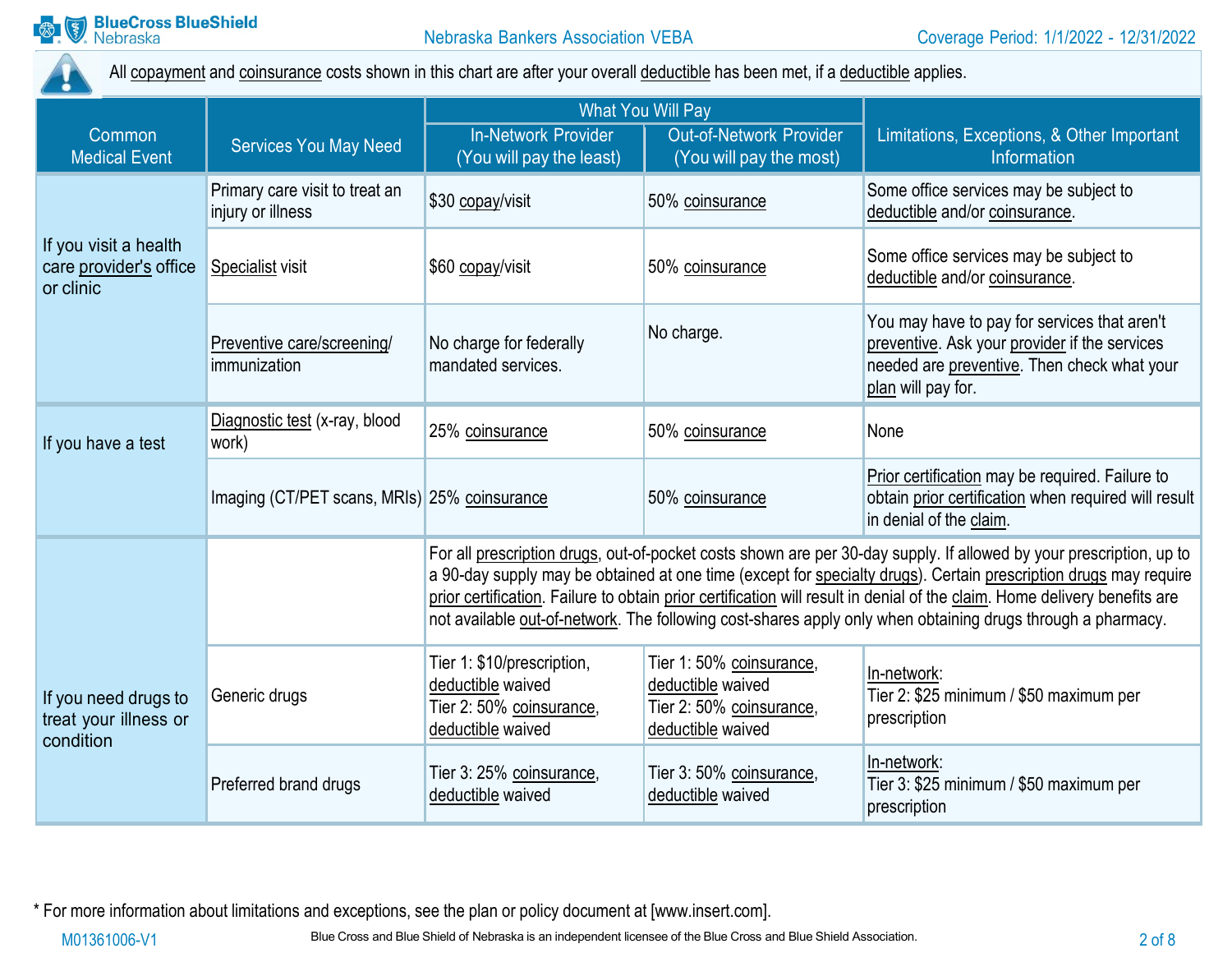

All copayment and coinsurance costs shown in this chart are after your overall deductible has been met, if a deductible applies.

|                                                              |                                                     | <b>What You Will Pay</b>                                                                                                                                                                                                                                                                                                                                                                                                                                                            |                                                                                                |                                                                                                                                                                    |
|--------------------------------------------------------------|-----------------------------------------------------|-------------------------------------------------------------------------------------------------------------------------------------------------------------------------------------------------------------------------------------------------------------------------------------------------------------------------------------------------------------------------------------------------------------------------------------------------------------------------------------|------------------------------------------------------------------------------------------------|--------------------------------------------------------------------------------------------------------------------------------------------------------------------|
| Common<br><b>Medical Event</b>                               | <b>Services You May Need</b>                        | <b>In-Network Provider</b><br>(You will pay the least)                                                                                                                                                                                                                                                                                                                                                                                                                              | Out-of-Network Provider<br>(You will pay the most)                                             | Limitations, Exceptions, & Other Important<br>Information                                                                                                          |
|                                                              | Primary care visit to treat an<br>injury or illness | \$30 copay/visit                                                                                                                                                                                                                                                                                                                                                                                                                                                                    | 50% coinsurance                                                                                | Some office services may be subject to<br>deductible and/or coinsurance.                                                                                           |
| If you visit a health<br>care provider's office<br>or clinic | Specialist visit                                    | \$60 copay/visit                                                                                                                                                                                                                                                                                                                                                                                                                                                                    | 50% coinsurance                                                                                | Some office services may be subject to<br>deductible and/or coinsurance.                                                                                           |
|                                                              | Preventive care/screening/<br>immunization          | No charge for federally<br>mandated services.                                                                                                                                                                                                                                                                                                                                                                                                                                       | No charge.                                                                                     | You may have to pay for services that aren't<br>preventive. Ask your provider if the services<br>needed are preventive. Then check what your<br>plan will pay for. |
| If you have a test                                           | Diagnostic test (x-ray, blood<br>work)              | 25% coinsurance                                                                                                                                                                                                                                                                                                                                                                                                                                                                     | 50% coinsurance                                                                                | None                                                                                                                                                               |
|                                                              | Imaging (CT/PET scans, MRIs) 25% coinsurance        |                                                                                                                                                                                                                                                                                                                                                                                                                                                                                     | 50% coinsurance                                                                                | Prior certification may be required. Failure to<br>obtain prior certification when required will result<br>in denial of the claim.                                 |
|                                                              |                                                     | For all prescription drugs, out-of-pocket costs shown are per 30-day supply. If allowed by your prescription, up to<br>a 90-day supply may be obtained at one time (except for specialty drugs). Certain prescription drugs may require<br>prior certification. Failure to obtain prior certification will result in denial of the claim. Home delivery benefits are<br>not available out-of-network. The following cost-shares apply only when obtaining drugs through a pharmacy. |                                                                                                |                                                                                                                                                                    |
| If you need drugs to<br>treat your illness or<br>condition   | Generic drugs                                       | Tier 1: \$10/prescription,<br>deductible waived<br>Tier 2: 50% coinsurance,<br>deductible waived                                                                                                                                                                                                                                                                                                                                                                                    | Tier 1: 50% coinsurance,<br>deductible waived<br>Tier 2: 50% coinsurance,<br>deductible waived | In-network:<br>Tier 2: \$25 minimum / \$50 maximum per<br>prescription                                                                                             |
|                                                              | Preferred brand drugs                               | Tier 3: 25% coinsurance,<br>deductible waived                                                                                                                                                                                                                                                                                                                                                                                                                                       | Tier 3: 50% coinsurance,<br>deductible waived                                                  | In-network:<br>Tier 3: \$25 minimum / \$50 maximum per<br>prescription                                                                                             |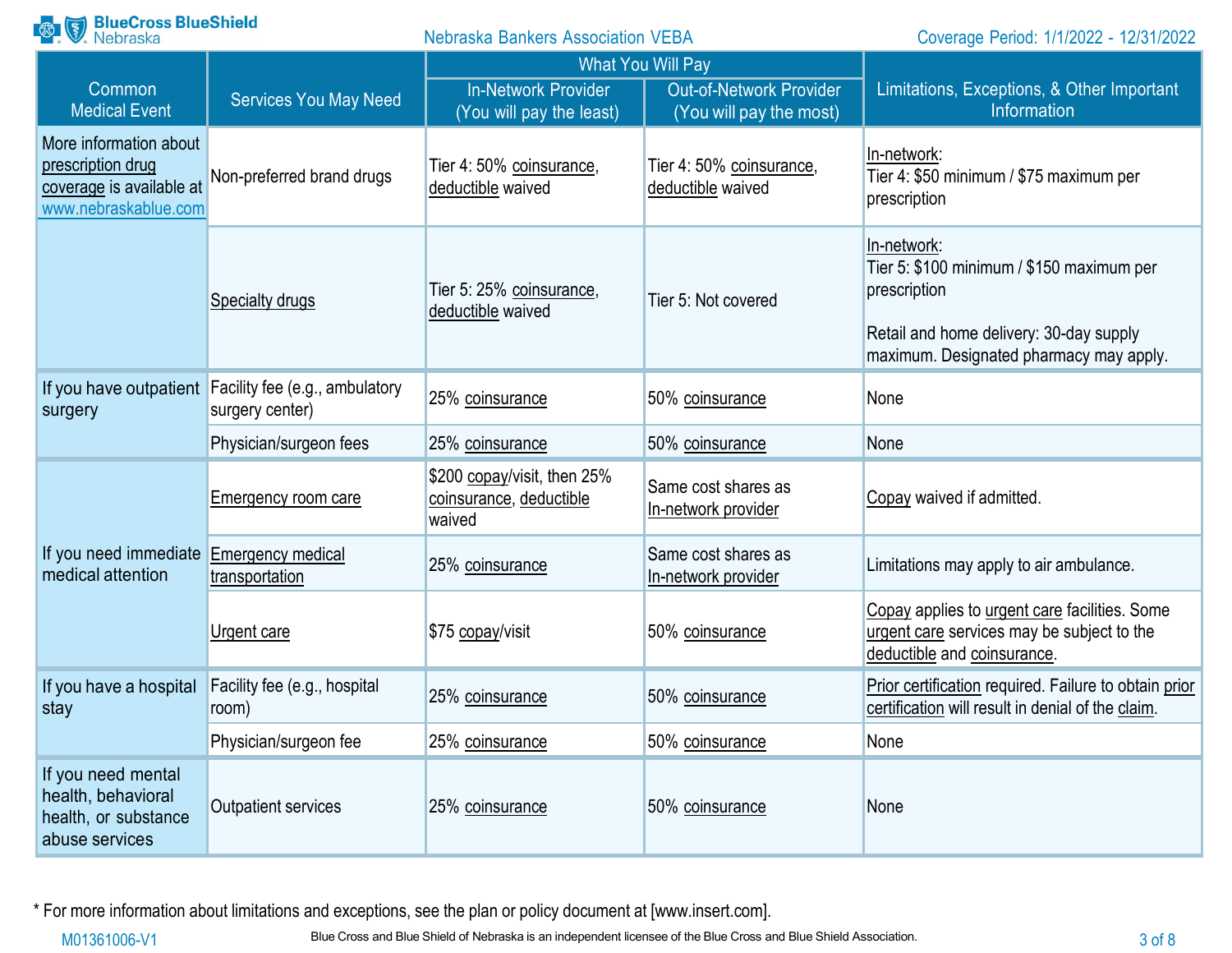| <b>Range BlueCross BlueShield</b><br><b>Nebraska Bankers Association VEBA</b>                   |                                                                          | Coverage Period: 1/1/2022 - 12/31/2022                           |                                                           |                                                                                                                                                                |
|-------------------------------------------------------------------------------------------------|--------------------------------------------------------------------------|------------------------------------------------------------------|-----------------------------------------------------------|----------------------------------------------------------------------------------------------------------------------------------------------------------------|
|                                                                                                 |                                                                          | <b>What You Will Pay</b>                                         |                                                           |                                                                                                                                                                |
| Common<br><b>Medical Event</b>                                                                  | <b>Services You May Need</b>                                             | <b>In-Network Provider</b><br>(You will pay the least)           | <b>Out-of-Network Provider</b><br>(You will pay the most) | Limitations, Exceptions, & Other Important<br>Information                                                                                                      |
| More information about<br>prescription drug<br>coverage is available at<br>www.nebraskablue.com | Non-preferred brand drugs                                                | Tier 4: 50% coinsurance,<br>deductible waived                    | Tier 4: 50% coinsurance,<br>deductible waived             | In-network:<br>Tier 4: \$50 minimum / \$75 maximum per<br>prescription                                                                                         |
|                                                                                                 | Specialty drugs                                                          | Tier 5: 25% coinsurance,<br>deductible waived                    | Tier 5: Not covered                                       | In-network:<br>Tier 5: \$100 minimum / \$150 maximum per<br>prescription<br>Retail and home delivery: 30-day supply<br>maximum. Designated pharmacy may apply. |
| surgery                                                                                         | If you have outpatient Facility fee (e.g., ambulatory<br>surgery center) | 25% coinsurance                                                  | 50% coinsurance                                           | None                                                                                                                                                           |
|                                                                                                 | Physician/surgeon fees                                                   | 25% coinsurance                                                  | 50% coinsurance                                           | None                                                                                                                                                           |
|                                                                                                 | <b>Emergency room care</b>                                               | \$200 copay/visit, then 25%<br>coinsurance, deductible<br>waived | Same cost shares as<br>In-network provider                | Copay waived if admitted.                                                                                                                                      |
| If you need immediate<br>medical attention                                                      | <b>Emergency medical</b><br>transportation                               | 25% coinsurance                                                  | Same cost shares as<br>In-network provider                | Limitations may apply to air ambulance.                                                                                                                        |
|                                                                                                 | Urgent care                                                              | \$75 copay/visit                                                 | 50% coinsurance                                           | Copay applies to urgent care facilities. Some<br>urgent care services may be subject to the<br>deductible and coinsurance.                                     |
| If you have a hospital<br>stay                                                                  | Facility fee (e.g., hospital<br>room)                                    | 25% coinsurance                                                  | 50% coinsurance                                           | Prior certification required. Failure to obtain prior<br>certification will result in denial of the claim.                                                     |
|                                                                                                 | Physician/surgeon fee                                                    | 25% coinsurance                                                  | 50% coinsurance                                           | None                                                                                                                                                           |
| If you need mental<br>health, behavioral<br>health, or substance<br>abuse services              | <b>Outpatient services</b>                                               | 25% coinsurance                                                  | 50% coinsurance                                           | None                                                                                                                                                           |

\* For more information about limitations and exceptions, see the plan or policy document at [\[www.insert.com\]](http://www.insert.com/).

M01361006-V1 Blue Cross and Blue Shield of Nebraska is an independent licensee of the Blue Cross and Blue Shield Association.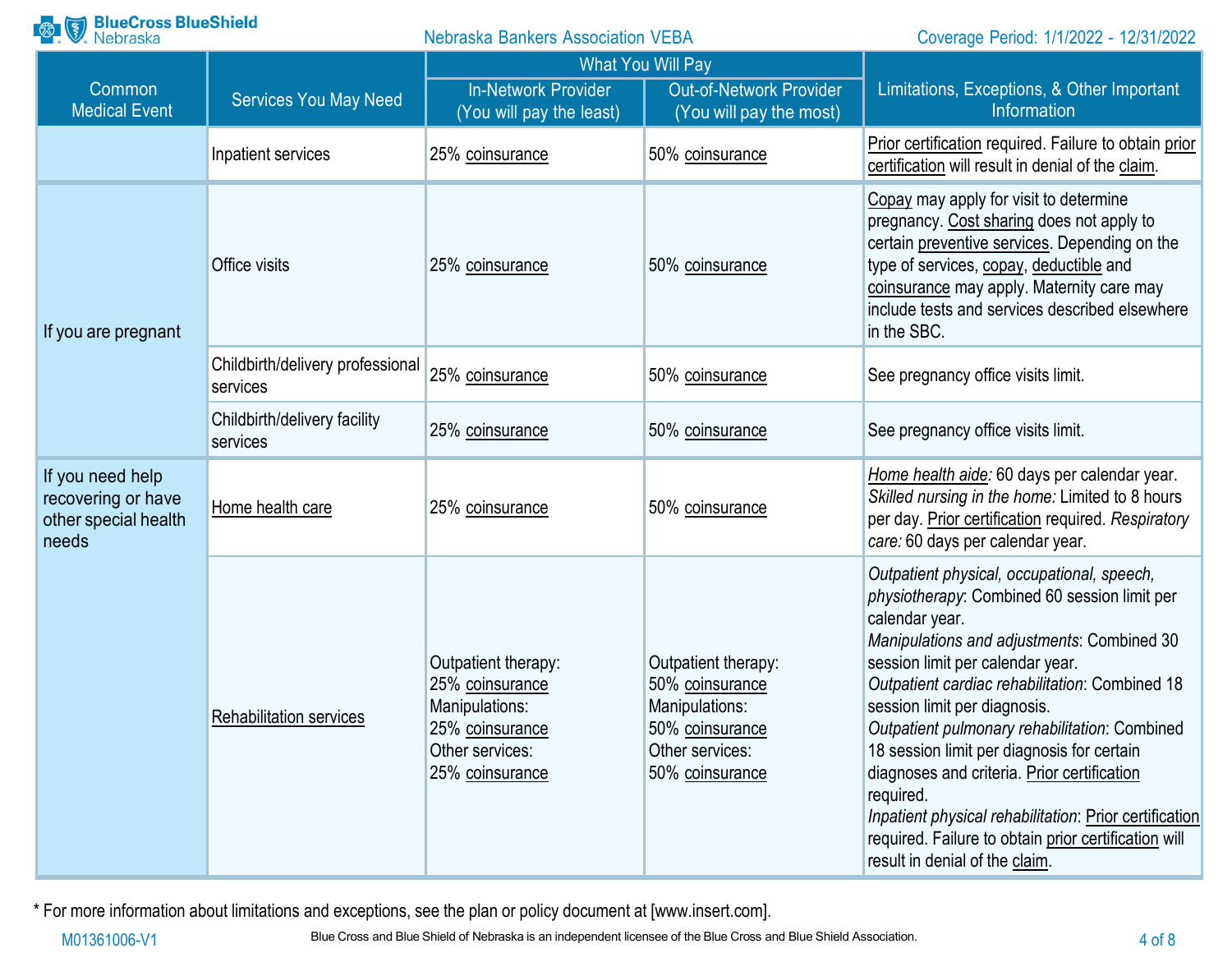| <b>BlueCross BlueShield</b><br>Nebraska<br>$\left(\frac{8}{3}\right)$   |                                              | <b>Nebraska Bankers Association VEBA</b>                                                                          |                                                                                                                   | Coverage Period: 1/1/2022 - 12/31/2022                                                                                                                                                                                                                                                                                                                                                                                                                                                                                                                                                          |
|-------------------------------------------------------------------------|----------------------------------------------|-------------------------------------------------------------------------------------------------------------------|-------------------------------------------------------------------------------------------------------------------|-------------------------------------------------------------------------------------------------------------------------------------------------------------------------------------------------------------------------------------------------------------------------------------------------------------------------------------------------------------------------------------------------------------------------------------------------------------------------------------------------------------------------------------------------------------------------------------------------|
| Common<br><b>Medical Event</b>                                          | <b>Services You May Need</b>                 | <b>In-Network Provider</b><br>(You will pay the least)                                                            | <b>What You Will Pay</b><br><b>Out-of-Network Provider</b><br>(You will pay the most)                             | Limitations, Exceptions, & Other Important<br>Information                                                                                                                                                                                                                                                                                                                                                                                                                                                                                                                                       |
|                                                                         | Inpatient services                           | 25% coinsurance                                                                                                   | 50% coinsurance                                                                                                   | Prior certification required. Failure to obtain prior<br>certification will result in denial of the claim.                                                                                                                                                                                                                                                                                                                                                                                                                                                                                      |
| If you are pregnant                                                     | Office visits                                | 25% coinsurance                                                                                                   | 50% coinsurance                                                                                                   | Copay may apply for visit to determine<br>pregnancy. Cost sharing does not apply to<br>certain preventive services. Depending on the<br>type of services, copay, deductible and<br>coinsurance may apply. Maternity care may<br>include tests and services described elsewhere<br>in the SBC.                                                                                                                                                                                                                                                                                                   |
|                                                                         | Childbirth/delivery professional<br>services | 25% coinsurance                                                                                                   | 50% coinsurance                                                                                                   | See pregnancy office visits limit.                                                                                                                                                                                                                                                                                                                                                                                                                                                                                                                                                              |
|                                                                         | Childbirth/delivery facility<br>services     | 25% coinsurance                                                                                                   | 50% coinsurance                                                                                                   | See pregnancy office visits limit.                                                                                                                                                                                                                                                                                                                                                                                                                                                                                                                                                              |
| If you need help<br>recovering or have<br>other special health<br>needs | Home health care                             | 25% coinsurance                                                                                                   | 50% coinsurance                                                                                                   | Home health aide: 60 days per calendar year.<br>Skilled nursing in the home: Limited to 8 hours<br>per day. Prior certification required. Respiratory<br>care: 60 days per calendar year.                                                                                                                                                                                                                                                                                                                                                                                                       |
|                                                                         | Rehabilitation services                      | Outpatient therapy:<br>25% coinsurance<br>Manipulations:<br>25% coinsurance<br>Other services:<br>25% coinsurance | Outpatient therapy:<br>50% coinsurance<br>Manipulations:<br>50% coinsurance<br>Other services:<br>50% coinsurance | Outpatient physical, occupational, speech,<br>physiotherapy: Combined 60 session limit per<br>calendar year.<br>Manipulations and adjustments: Combined 30<br>session limit per calendar year.<br>Outpatient cardiac rehabilitation: Combined 18<br>session limit per diagnosis.<br>Outpatient pulmonary rehabilitation: Combined<br>18 session limit per diagnosis for certain<br>diagnoses and criteria. Prior certification<br>required.<br>Inpatient physical rehabilitation: Prior certification<br>required. Failure to obtain prior certification will<br>result in denial of the claim. |

\* For more information about limitations and exceptions, see the plan or policy document at [\[www.insert.com\]](http://www.insert.com/).

M01361006-V1 Blue Cross and Blue Shield of Nebraska is an independent licensee of the Blue Cross and Blue Shield Association. 4 of 8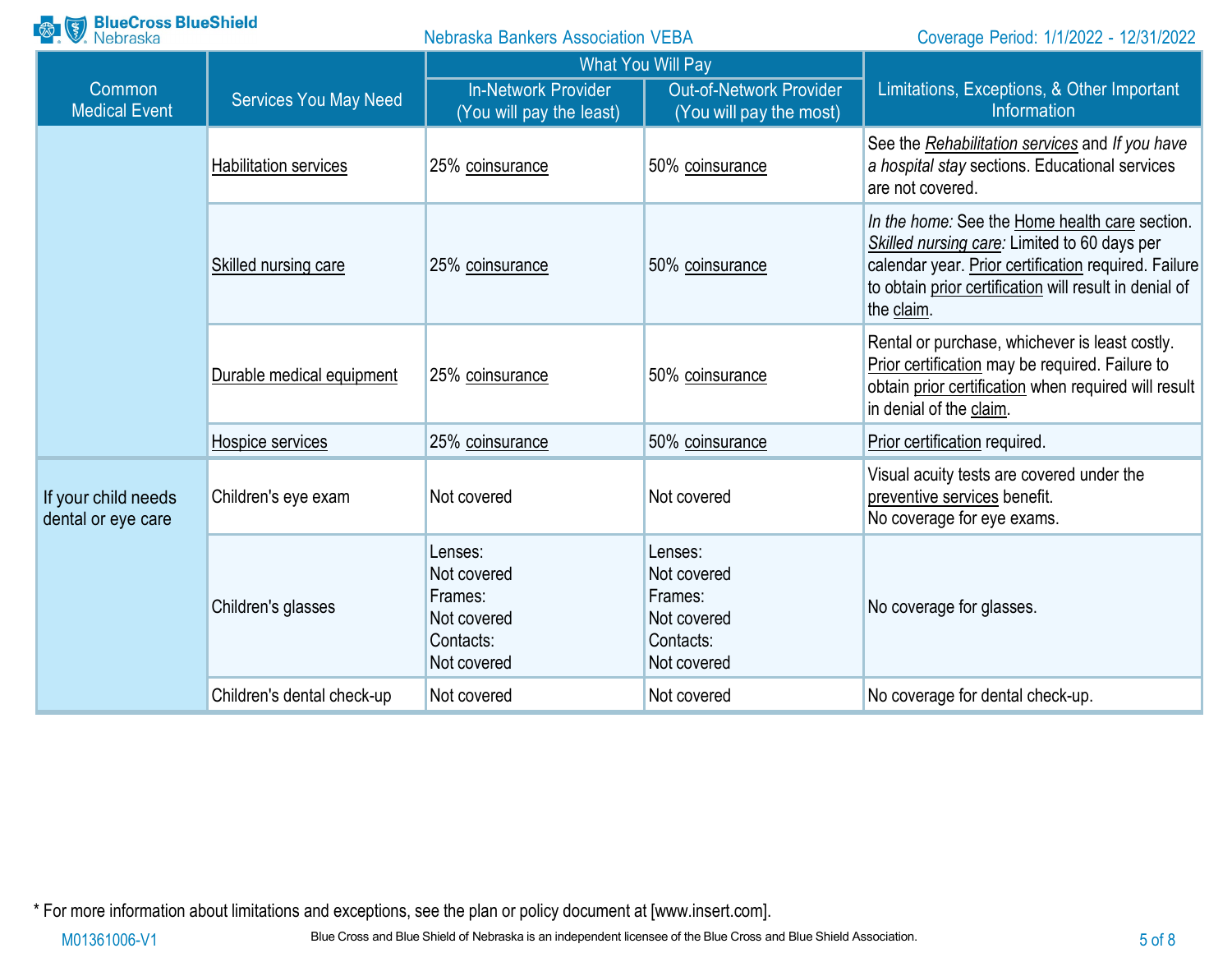| <b>BlueCross BlueShield</b><br>Nebraska   |                              | <b>Nebraska Bankers Association VEBA</b>                                     |                                                                              | Coverage Period: 1/1/2022 - 12/31/2022                                                                                                                                                                                         |
|-------------------------------------------|------------------------------|------------------------------------------------------------------------------|------------------------------------------------------------------------------|--------------------------------------------------------------------------------------------------------------------------------------------------------------------------------------------------------------------------------|
|                                           |                              | <b>What You Will Pay</b>                                                     |                                                                              |                                                                                                                                                                                                                                |
| Common<br><b>Medical Event</b>            | <b>Services You May Need</b> | <b>In-Network Provider</b><br>(You will pay the least)                       | <b>Out-of-Network Provider</b><br>(You will pay the most)                    | Limitations, Exceptions, & Other Important<br>Information                                                                                                                                                                      |
|                                           | <b>Habilitation services</b> | 25% coinsurance                                                              | 50% coinsurance                                                              | See the Rehabilitation services and If you have<br>a hospital stay sections. Educational services<br>are not covered.                                                                                                          |
|                                           | Skilled nursing care         | 25% coinsurance                                                              | 50% coinsurance                                                              | In the home: See the Home health care section.<br>Skilled nursing care: Limited to 60 days per<br>calendar year. Prior certification required. Failure<br>to obtain prior certification will result in denial of<br>the claim. |
|                                           | Durable medical equipment    | 25% coinsurance                                                              | 50% coinsurance                                                              | Rental or purchase, whichever is least costly.<br>Prior certification may be required. Failure to<br>obtain prior certification when required will result<br>in denial of the claim.                                           |
|                                           | Hospice services             | 25% coinsurance                                                              | 50% coinsurance                                                              | Prior certification required.                                                                                                                                                                                                  |
| If your child needs<br>dental or eye care | Children's eye exam          | Not covered                                                                  | Not covered                                                                  | Visual acuity tests are covered under the<br>preventive services benefit.<br>No coverage for eye exams.                                                                                                                        |
|                                           | Children's glasses           | Lenses:<br>Not covered<br>Frames:<br>Not covered<br>Contacts:<br>Not covered | Lenses:<br>Not covered<br>Frames:<br>Not covered<br>Contacts:<br>Not covered | No coverage for glasses.                                                                                                                                                                                                       |
|                                           | Children's dental check-up   | Not covered                                                                  | Not covered                                                                  | No coverage for dental check-up.                                                                                                                                                                                               |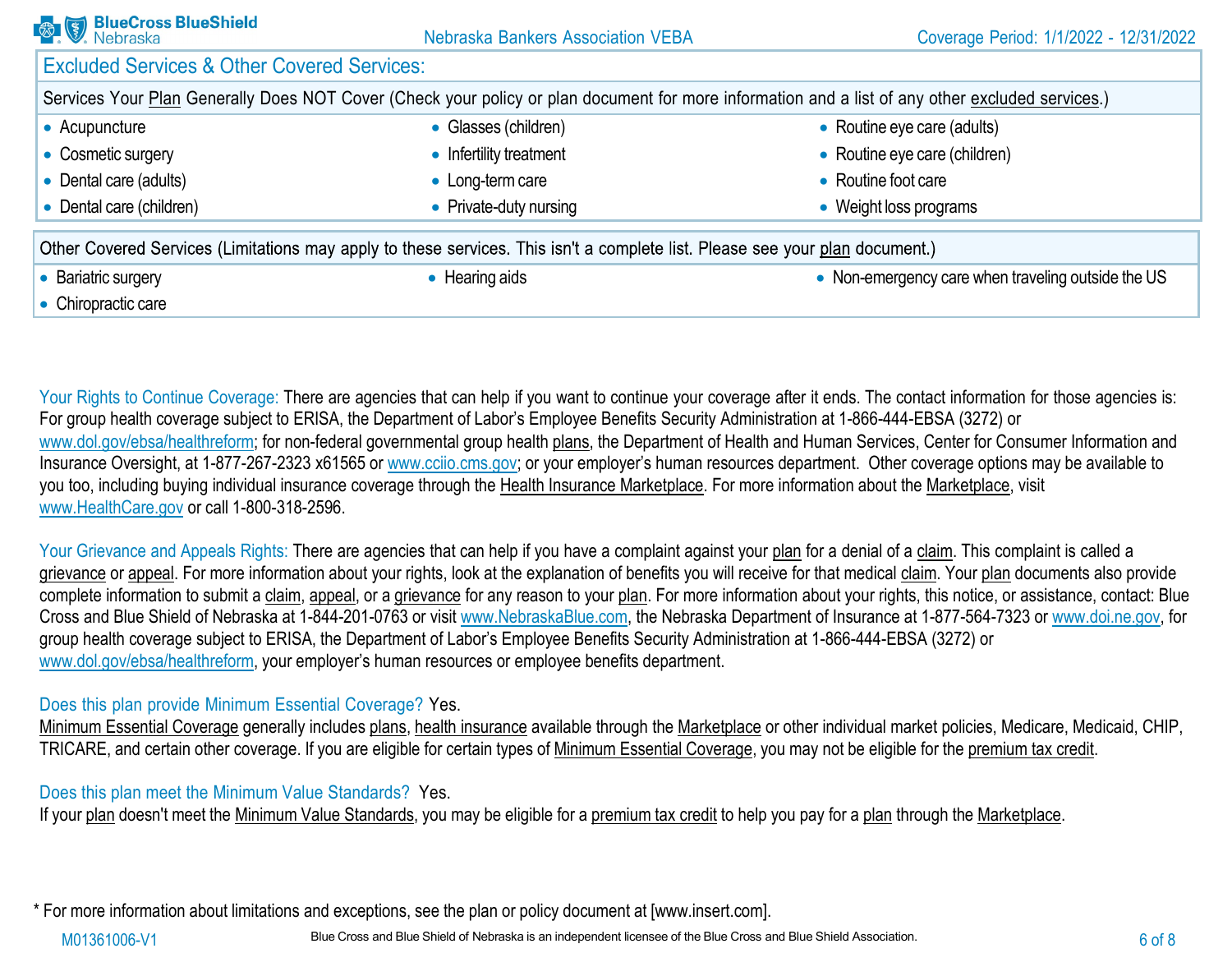| <b>BlueCross BlueShield</b>                            | <b>Nebraska Bankers Association VEBA</b>                                                                                     | Coverage Period: 1/1/2022 - 12/31/2022                                                                                                           |
|--------------------------------------------------------|------------------------------------------------------------------------------------------------------------------------------|--------------------------------------------------------------------------------------------------------------------------------------------------|
| <b>Excluded Services &amp; Other Covered Services:</b> |                                                                                                                              |                                                                                                                                                  |
|                                                        |                                                                                                                              | Services Your Plan Generally Does NOT Cover (Check your policy or plan document for more information and a list of any other excluded services.) |
| • Acupuncture                                          | • Glasses (children)                                                                                                         | • Routine eye care (adults)                                                                                                                      |
| • Cosmetic surgery                                     | • Infertility treatment                                                                                                      | • Routine eye care (children)                                                                                                                    |
| • Dental care (adults)                                 | • Long-term care                                                                                                             | • Routine foot care                                                                                                                              |
| • Dental care (children)                               | • Private-duty nursing                                                                                                       | • Weight loss programs                                                                                                                           |
|                                                        | Other Covered Services (Limitations may apply to these services. This isn't a complete list. Please see your plan document.) |                                                                                                                                                  |
| • Bariatric surgery                                    | • Hearing aids                                                                                                               | • Non-emergency care when traveling outside the US                                                                                               |
| • Chiropractic care                                    |                                                                                                                              |                                                                                                                                                  |

Your Rights to Continue Coverage: There are agencies that can help if you want to continue your coverage after it ends. The contact information for those agencies is: For group health coverage subject to ERISA, the Department of Labor's Employee Benefits Security Administration at 1-866-444-EBSA (3272) or [www.dol.gov/ebsa/healthreform; f](http://www.dol.gov/ebsa/healthreform%3B)or non-federal governmental group health plans, the Department of Health and Human Services, Center for Consumer Information and Insurance Oversight, at 1-877-267-2323 x61565 or www.cciio.cms.gov; or your employer's human resources department. Other coverage options may be available to you too, including buying individual insurance coverage through the Health Insurance Marketplace. For more information about the Marketplace, visit [www.HealthCare.gov](http://www.healthcare.gov/) or call 1-800-318-2596.

Your Grievance and Appeals Rights: There are agencies that can help if you have a complaint against your plan for a denial of a claim. This complaint is called a grievance or appeal. For more information about your rights, look at the explanation of benefits you will receive for that medical claim. Your plan documents also provide complete information to submit a claim, appeal, or a grievance for any reason to your plan. For more information about your rights, this notice, or assistance, contact: Blue Cross and Blue Shield of Nebraska at 1-844-201-0763 or visit [www.NebraskaBlue.com, t](http://www.nebraskablue.com/)he Nebraska Department of Insurance at 1-877-564-7323 or [www.doi.ne.gov, f](http://www.doi.ne.gov/)or group health coverage subject to ERISA, the Department of Labor's Employee Benefits Security Administration at 1-866-444-EBSA (3272) or [www.dol.gov/ebsa/healthreform,](http://www.dol.gov/ebsa/healthreform) your employer's human resources or employee benefits department.

## Does this plan provide Minimum Essential Coverage? Yes.

Minimum Essential Coverage generally includes plans, health insurance available through the Marketplace or other individual market policies, Medicare, Medicaid, CHIP, TRICARE, and certain other coverage. If you are eligible for certain types of Minimum Essential Coverage, you may not be eligible for the premium tax credit.

#### Does this plan meet the Minimum Value Standards? Yes.

If your plan doesn't meet the Minimum Value Standards, you may be eligible for a premium tax credit to help you pay for a plan through the Marketplace.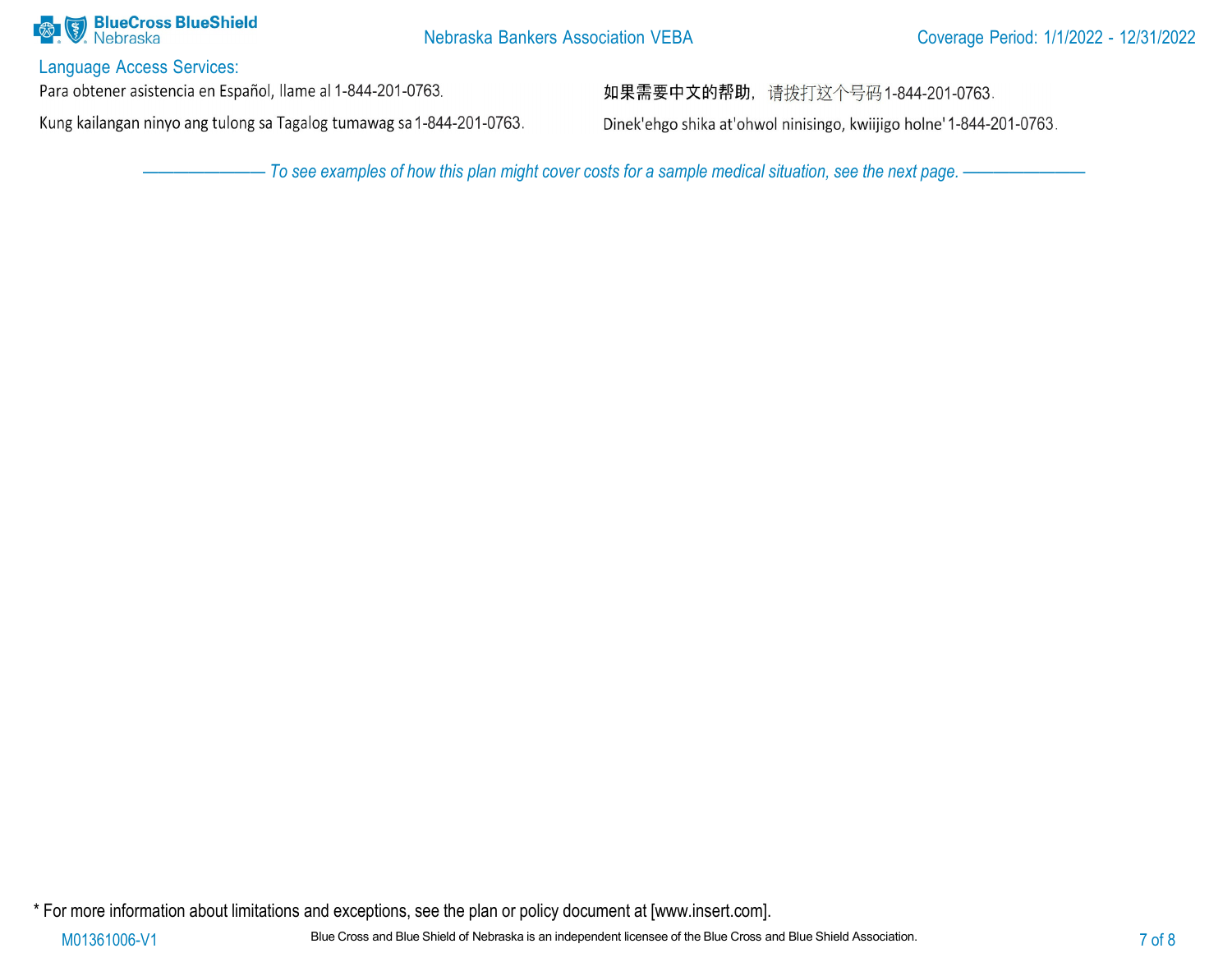

Language Access Services:

Para obtener asistencia en Español, llame al 1-844-201-0763.

Kung kailangan ninyo ang tulong sa Tagalog tumawag sa 1-844-201-0763.

如果需要中文的帮助, 请拨打这个号码1-844-201-0763.

Dinek'ehgo shika at'ohwol ninisingo, kwiijigo holne' 1-844-201-0763.

- To see examples of how this plan might cover costs for a sample medical situation, see the next page. -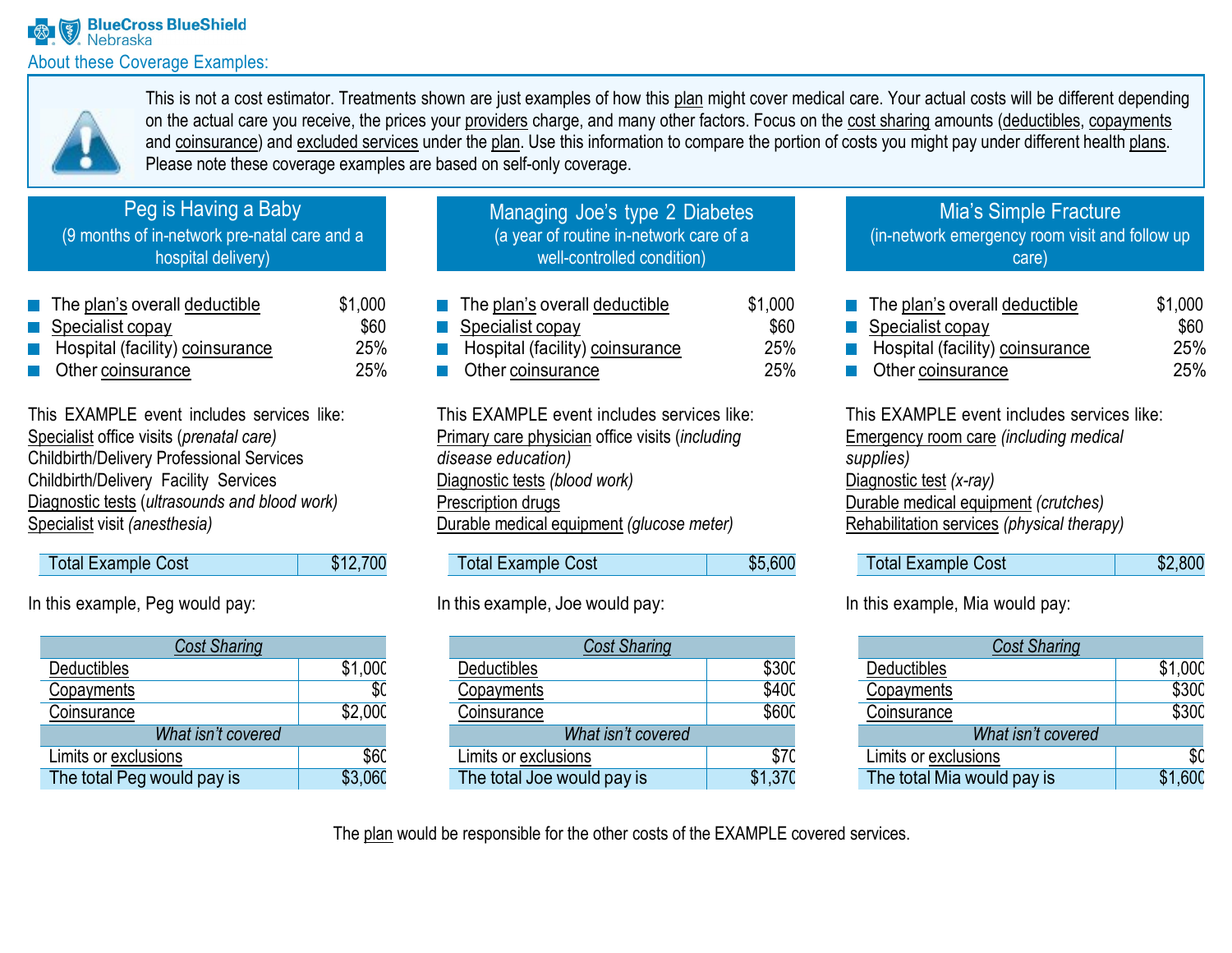

This is not a cost estimator. Treatments shown are just examples of how this plan might cover medical care. Your actual costs will be different depending on the actual care you receive, the prices your providers charge, and many other factors. Focus on the cost sharing amounts (deductibles, copayments and coinsurance) and excluded services under the plan. Use this information to compare the portion of costs you might pay under different health plans. Please note these coverage examples are based on self-only coverage.

# Peg is Having a Baby

(9 months of in-network pre-natal care and a hospital delivery)

| \$1,000                                                                                                                                        |
|------------------------------------------------------------------------------------------------------------------------------------------------|
| \$60                                                                                                                                           |
| 25%                                                                                                                                            |
| 25%                                                                                                                                            |
| $\blacksquare$ The plan's overall deductible<br>$\blacksquare$ Specialist copay<br>Hospital (facility) coinsurance<br><b>Other coinsurance</b> |

This EXAMPLE event includes services like: Specialist office visits (*prenatal care)* Childbirth/Delivery Professional Services Childbirth/Delivery Facility Services Diagnostic tests (*ultrasounds and blood work)* Specialist visit *(anesthesia)*

| Total Example Cost | \$12,700 |
|--------------------|----------|
|--------------------|----------|

In this example, Peg would pay:

| <b>Cost Sharing</b>        |         |  |
|----------------------------|---------|--|
| Deductibles                | \$1,00C |  |
| Copayments                 | \$0     |  |
| Coinsurance                | \$2,000 |  |
| What isn't covered         |         |  |
| Limits or exclusions       | \$60    |  |
| The total Peg would pay is | \$3,060 |  |

| Managing Joe's type 2 Diabetes          |
|-----------------------------------------|
| (a year of routine in-network care of a |
| well-controlled condition)              |
|                                         |

| $\blacksquare$ The plan's overall deductible | \$1,000 |
|----------------------------------------------|---------|
| $\blacksquare$ Specialist copay              | \$60    |
| Hospital (facility) coinsurance              | 25%     |
| <b>Other coinsurance</b>                     | 25%     |

This EXAMPLE event includes services like: Primary care physician office visits (*including disease education)* Diagnostic tests *(blood work)* Prescription drugs Durable medical equipment *(glucose meter)*

| <b>Total Example Cost</b> | \$5,600 |
|---------------------------|---------|

# In this example, Joe would pay:

| <b>Cost Sharing</b>        |         |  |  |
|----------------------------|---------|--|--|
| Deductibles                | \$300   |  |  |
| Copayments                 | \$400   |  |  |
| Coinsurance                | \$600   |  |  |
| What isn't covered         |         |  |  |
| Limits or exclusions       | \$70    |  |  |
| The total Joe would pay is | \$1,370 |  |  |

## Mia's Simple Fracture (in-network emergency room visit and follow up care)

| $\blacksquare$ The plan's overall deductible | \$1,000    |
|----------------------------------------------|------------|
| $\blacksquare$ Specialist copay              | \$60       |
| Hospital (facility) coinsurance              | 25%        |
| <b>Other coinsurance</b>                     | <b>25%</b> |

This EXAMPLE event includes services like: Emergency room care *(including medical supplies)* Diagnostic test *(x-ray)* Durable medical equipment *(crutches)* Rehabilitation services *(physical therapy)*

| <b>Total Example Cost</b> | \$2,800 |
|---------------------------|---------|
|                           |         |

In this example, Mia would pay:

| <b>Cost Sharing</b>        |         |
|----------------------------|---------|
| <b>Deductibles</b>         | \$1,000 |
| Copayments                 | \$300   |
| Coinsurance                | \$300   |
| What isn't covered         |         |
| Limits or exclusions       | \$0     |
| The total Mia would pay is | \$1,600 |

The plan would be responsible for the other costs of the EXAMPLE covered services.